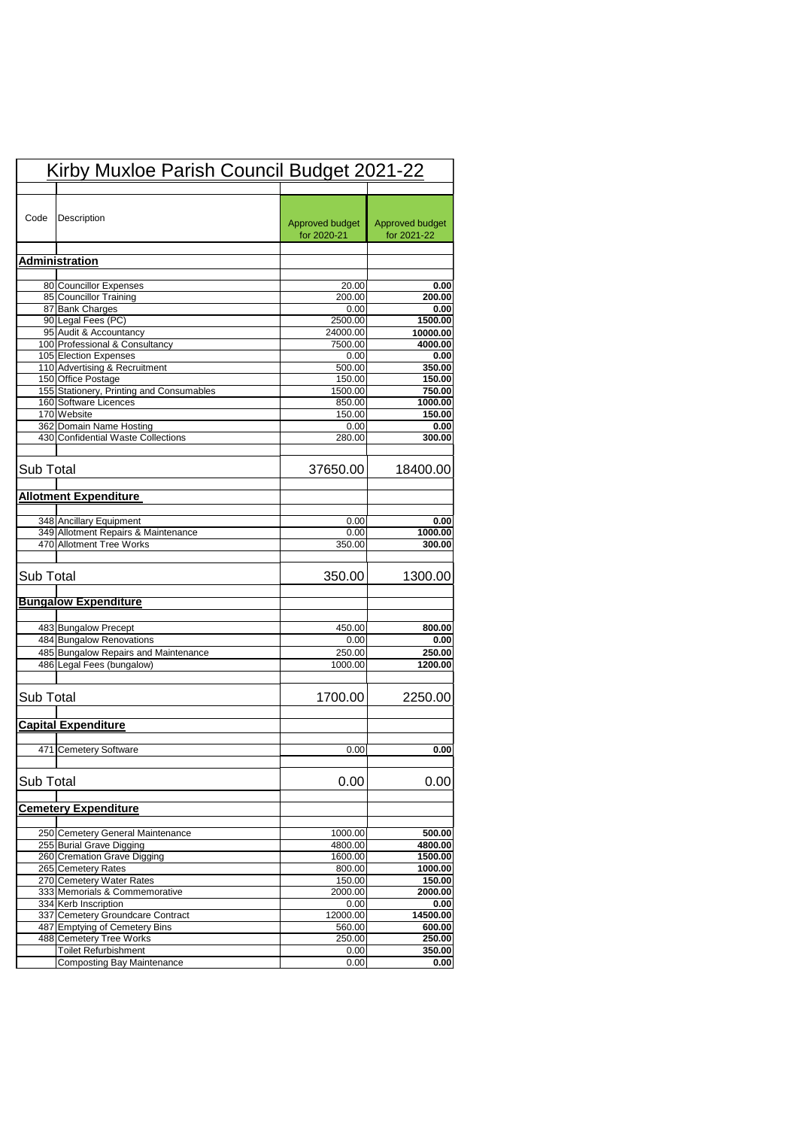|           | Kirby Muxloe Parish Council Budget 2021-22                     |                                |                                |
|-----------|----------------------------------------------------------------|--------------------------------|--------------------------------|
| Code      | Description                                                    | Approved budget<br>for 2020-21 | Approved budget<br>for 2021-22 |
|           | <b>Administration</b>                                          |                                |                                |
|           |                                                                |                                |                                |
|           | 80 Councillor Expenses                                         | 20.00                          | 0.00                           |
|           | 85 Councillor Training                                         | 200.00                         | 200.00                         |
|           | 87 Bank Charges                                                | 0.00                           | 0.00                           |
|           | 90 Legal Fees (PC)                                             | 2500.00                        | 1500.00                        |
|           | 95 Audit & Accountancy                                         | 24000.00                       | 10000.00                       |
|           | 100 Professional & Consultancy                                 | 7500.00                        | 4000.00                        |
|           | 105 Election Expenses                                          | 0.00                           | 0.00                           |
|           | 110 Advertising & Recruitment                                  | 500.00                         | 350.00                         |
|           | 150 Office Postage<br>155 Stationery, Printing and Consumables | 150.00<br>1500.00              | 150.00<br>750.00               |
|           | 160 Software Licences                                          | 850.00                         | 1000.00                        |
|           | 170 Website                                                    | 150.00                         | 150.00                         |
|           | 362 Domain Name Hosting                                        | 0.00                           | 0.00                           |
|           | 430 Confidential Waste Collections                             | 280.00                         | 300.00                         |
|           |                                                                |                                |                                |
| Sub Total |                                                                | 37650.00                       | 18400.00                       |
|           | <b>Allotment Expenditure</b>                                   |                                |                                |
|           | 348 Ancillary Equipment                                        | 0.00                           | 0.00                           |
|           | 349 Allotment Repairs & Maintenance                            | 0.00                           | 1000.00                        |
|           | 470 Allotment Tree Works                                       | 350.00                         | 300.00                         |
| Sub Total |                                                                | 350.00                         | 1300.00                        |
|           | <b>Bungalow Expenditure</b>                                    |                                |                                |
|           | 483 Bungalow Precept                                           | 450.00                         | 800.00                         |
|           | 484 Bungalow Renovations                                       | 0.00                           | 0.00                           |
|           | 485 Bungalow Repairs and Maintenance                           | 250.00                         | 250.00                         |
|           | 486 Legal Fees (bungalow)                                      | 1000.00                        | 1200.00                        |
|           |                                                                |                                |                                |
| Sub Total |                                                                | 1700.00                        | 2250.00                        |
|           | <b>Capital Expenditure</b>                                     |                                |                                |
|           | 471 Cemetery Software                                          | 0.00                           | 0.00                           |
| Sub Total |                                                                | 0.00                           | 0.00                           |
|           | <b>Cemetery Expenditure</b>                                    |                                |                                |
|           |                                                                |                                |                                |
|           |                                                                |                                |                                |
|           | 250 Cemetery General Maintenance                               | 1000.00                        | 500.00                         |
|           | 255 Burial Grave Digging                                       | 4800.00                        | 4800.00                        |
|           | 260 Cremation Grave Digging                                    | 1600.00                        | 1500.00                        |
|           | 265 Cemetery Rates                                             | 800.00                         | 1000.00                        |
|           | 270 Cemetery Water Rates                                       | 150.00                         | 150.00                         |
|           | 333 Memorials & Commemorative                                  | 2000.00                        | 2000.00                        |
|           | 334 Kerb Inscription                                           | 0.00                           | 0.00                           |
|           | 337 Cemetery Groundcare Contract                               | 12000.00                       | 14500.00                       |
|           | 487 Emptying of Cemetery Bins                                  | 560.00                         | 600.00                         |
|           | 488 Cemetery Tree Works<br><b>Toilet Refurbishment</b>         | 250.00<br>0.00                 | 250.00<br>350.00               |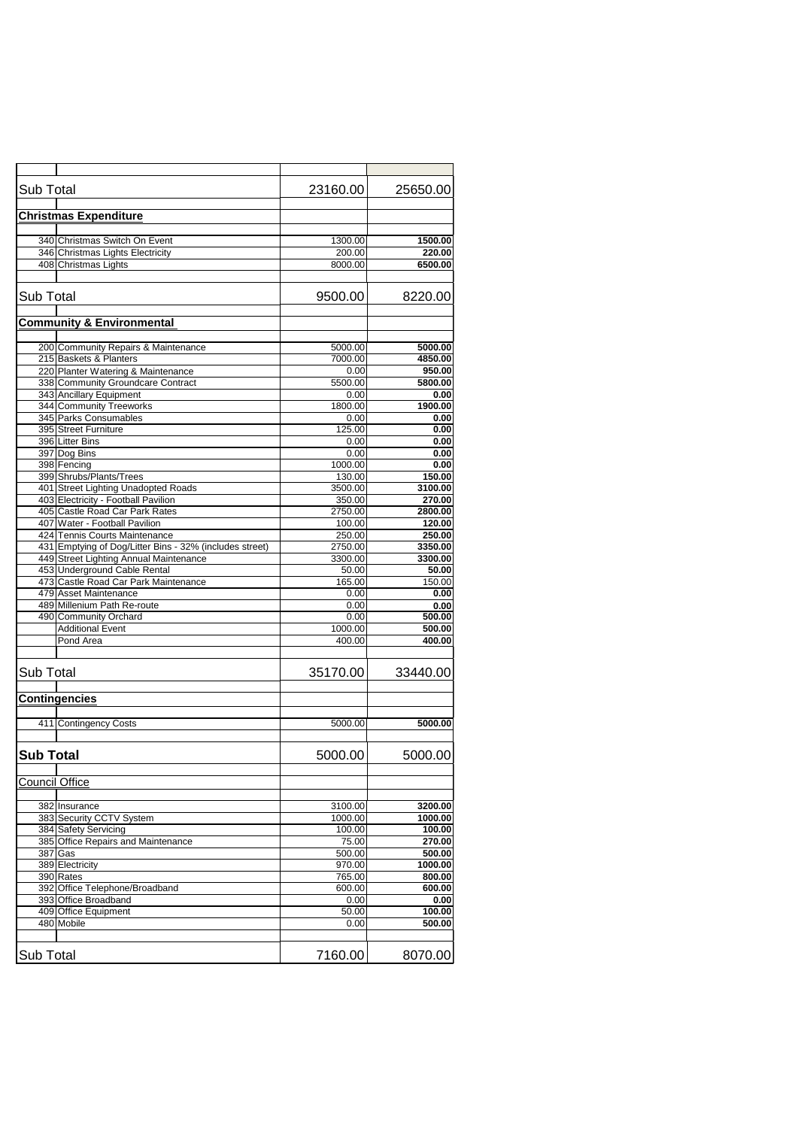| Sub Total             |                                                         | 23160.00          | 25650.00         |
|-----------------------|---------------------------------------------------------|-------------------|------------------|
|                       | <b>Christmas Expenditure</b>                            |                   |                  |
|                       |                                                         |                   |                  |
|                       | 340 Christmas Switch On Event                           | 1300.00           | 1500.00          |
|                       | 346 Christmas Lights Electricity                        | 200.00            | 220.00           |
|                       | 408 Christmas Lights                                    | 8000.00           | 6500.00          |
|                       |                                                         |                   |                  |
| <b>Sub Total</b>      |                                                         | 9500.00           | 8220.00          |
|                       |                                                         |                   |                  |
|                       | <b>Community &amp; Environmental</b>                    |                   |                  |
|                       |                                                         |                   |                  |
|                       | 200 Community Repairs & Maintenance                     | 5000.00           | 5000.00          |
|                       | 215 Baskets & Planters                                  | 7000.00           | 4850.00          |
|                       | 220 Planter Watering & Maintenance                      | 0.00              | 950.00           |
|                       | 338 Community Groundcare Contract                       | 5500.00           | 5800.00          |
|                       | 343 Ancillary Equipment                                 | 0.00              | 0.00             |
|                       | 344 Community Treeworks                                 | 1800.00           | 1900.00          |
|                       | 345 Parks Consumables                                   | 0.00              | 0.00             |
|                       | 395 Street Furniture                                    | 125.00            | 0.00             |
|                       | 396 Litter Bins                                         | 0.00              | 0.00             |
|                       | 397 Dog Bins                                            | 0.00              | 0.00             |
|                       | 398 Fencing<br>399 Shrubs/Plants/Trees                  | 1000.00<br>130.00 | 0.00<br>150.00   |
|                       | 401 Street Lighting Unadopted Roads                     | 3500.00           | 3100.00          |
|                       | 403 Electricity - Football Pavilion                     | 350.00            | 270.00           |
|                       | 405 Castle Road Car Park Rates                          | 2750.00           | 2800.00          |
|                       | 407 Water - Football Pavilion                           | 100.00            | 120.00           |
|                       | 424 Tennis Courts Maintenance                           | 250.00            | 250.00           |
|                       | 431 Emptying of Dog/Litter Bins - 32% (includes street) | 2750.00           | 3350.00          |
|                       | 449 Street Lighting Annual Maintenance                  | 3300.00           | 3300.00          |
|                       | 453 Underground Cable Rental                            | 50.00             | 50.00            |
|                       | 473 Castle Road Car Park Maintenance                    | 165.00            | 150.00           |
|                       | 479 Asset Maintenance                                   | 0.00              | 0.00             |
|                       | 489 Millenium Path Re-route                             | 0.00              | 0.00             |
|                       | 490 Community Orchard                                   | 0.00              | 500.00           |
|                       | <b>Additional Event</b>                                 | 1000.00           | 500.00           |
|                       | Pond Area                                               | 400.00            | 400.00           |
| <b>Sub Total</b>      |                                                         | 35170.00          | 33440.00         |
|                       | <b>Contingencies</b>                                    |                   |                  |
|                       |                                                         |                   |                  |
|                       | 411 Contingency Costs                                   | 5000.00           | 5000.00          |
|                       |                                                         |                   |                  |
| <b>Sub Total</b>      |                                                         | 5000.00           | 5000.00          |
| <b>Council Office</b> |                                                         |                   |                  |
|                       |                                                         |                   |                  |
|                       | 382 Insurance                                           | 3100.00           | 3200.00          |
|                       | 383 Security CCTV System                                | 1000.00           | 1000.00          |
|                       | 384 Safety Servicing                                    | 100.00            | 100.00           |
|                       | 385 Office Repairs and Maintenance                      | 75.00             | 270.00           |
|                       | $387$ Gas                                               | 500.00            | 500.00           |
|                       | 389 Electricity                                         | 970.00            | 1000.00          |
|                       | 390 Rates                                               | 765.00            | 800.00           |
|                       | 392 Office Telephone/Broadband                          | 600.00            | 600.00           |
|                       | 393 Office Broadband                                    | 0.00              | 0.00             |
|                       | 409 Office Equipment<br>480 Mobile                      | 50.00<br>0.00     | 100.00<br>500.00 |
|                       |                                                         |                   |                  |
|                       |                                                         |                   |                  |
| <b>Sub Total</b>      |                                                         | 7160.00           | 8070.00          |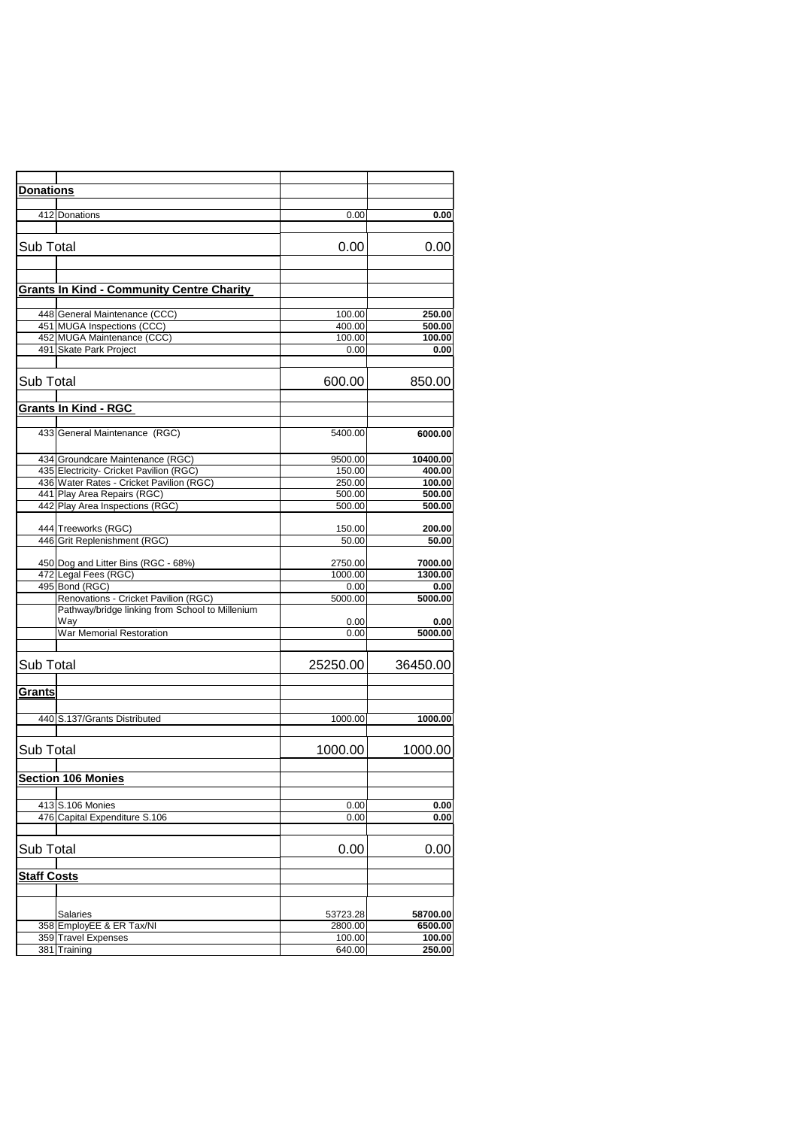| <b>Donations</b>            |                                                  |          |          |
|-----------------------------|--------------------------------------------------|----------|----------|
|                             |                                                  |          |          |
| 412 Donations               |                                                  | 0.00     | 0.00     |
|                             |                                                  |          |          |
|                             |                                                  |          |          |
| <b>Sub Total</b>            |                                                  | 0.00     | 0.00     |
|                             |                                                  |          |          |
|                             |                                                  |          |          |
|                             | <b>Grants In Kind - Community Centre Charity</b> |          |          |
|                             |                                                  |          |          |
|                             | 448 General Maintenance (CCC)                    | 100.00   | 250.00   |
|                             | 451 MUGA Inspections (CCC)                       | 400.00   | 500.00   |
|                             | 452 MUGA Maintenance (CCC)                       | 100.00   | 100.00   |
|                             | 491 Skate Park Project                           | 0.00     | 0.00     |
|                             |                                                  |          |          |
| <b>Sub Total</b>            |                                                  | 600.00   | 850.00   |
|                             |                                                  |          |          |
| <b>Grants In Kind - RGC</b> |                                                  |          |          |
|                             |                                                  |          |          |
|                             | 433 General Maintenance (RGC)                    | 5400.00  | 6000.00  |
|                             |                                                  |          |          |
|                             | 434 Groundcare Maintenance (RGC)                 | 9500.00  | 10400.00 |
|                             | 435 Electricity- Cricket Pavilion (RGC)          | 150.00   | 400.00   |
|                             | 436 Water Rates - Cricket Pavilion (RGC)         | 250.00   | 100.00   |
|                             | 441 Play Area Repairs (RGC)                      | 500.00   | 500.00   |
|                             | 442 Play Area Inspections (RGC)                  | 500.00   | 500.00   |
|                             |                                                  |          |          |
|                             | 444 Treeworks (RGC)                              | 150.00   | 200.00   |
|                             | 446 Grit Replenishment (RGC)                     | 50.00    | 50.00    |
|                             |                                                  |          |          |
|                             | 450 Dog and Litter Bins (RGC - 68%)              | 2750.00  | 7000.00  |
|                             | 472 Legal Fees (RGC)                             | 1000.00  | 1300.00  |
| 495 Bond (RGC)              |                                                  | 0.00     | 0.00     |
|                             | Renovations - Cricket Pavilion (RGC)             | 5000.00  | 5000.00  |
|                             | Pathway/bridge linking from School to Millenium  |          |          |
| Way                         |                                                  | 0.00     | 0.00     |
|                             | <b>War Memorial Restoration</b>                  | 0.00     | 5000.00  |
|                             |                                                  |          |          |
| <b>Sub Total</b>            |                                                  | 25250.00 | 36450.00 |
|                             |                                                  |          |          |
| Grants                      |                                                  |          |          |
|                             |                                                  |          |          |
|                             |                                                  |          |          |
|                             | 440 S.137/Grants Distributed                     | 1000.00  | 1000.00  |
|                             |                                                  |          |          |
| Sub Total                   |                                                  | 1000.00  | 1000.00  |
|                             |                                                  |          |          |
| <b>Section 106 Monies</b>   |                                                  |          |          |
|                             |                                                  |          |          |
|                             |                                                  |          |          |
| 413 S.106 Monies            |                                                  | 0.00     | 0.00     |
|                             | 476 Capital Expenditure S.106                    | 0.00     | 0.00     |
|                             |                                                  |          |          |
| Sub Total                   |                                                  | 0.00     | 0.00     |
|                             |                                                  |          |          |
| <b>Staff Costs</b>          |                                                  |          |          |
|                             |                                                  |          |          |
|                             |                                                  |          |          |
| <b>Salaries</b>             |                                                  | 53723.28 | 58700.00 |
|                             | 358 EmployEE & ER Tax/NI                         | 2800.00  | 6500.00  |
| 359 Travel Expenses         |                                                  | 100.00   | 100.00   |
| 381 Training                |                                                  | 640.00   | 250.00   |
|                             |                                                  |          |          |